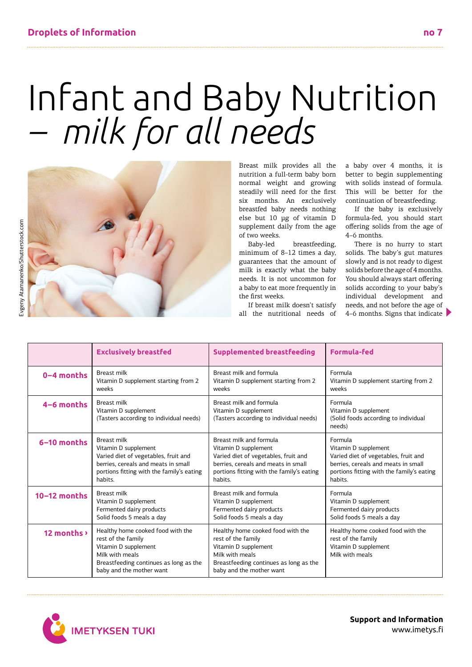## Infant and Baby Nutrition *– milk for all needs*



Breast milk provides all the nutrition a full-term baby born normal weight and growing steadily will need for the first six months. An exclusively breastfed baby needs nothing else but 10 µg of vitamin D supplement daily from the age of two weeks.

Baby-led breastfeeding, minimum of 8–12 times a day, guarantees that the amount of milk is exactly what the baby needs. It is not uncommon for a baby to eat more frequently in the first weeks.

If breast milk doesn't satisfy all the nutritional needs of a baby over 4 months, it is better to begin supplementing with solids instead of formula. This will be better for the continuation of breastfeeding.

If the baby is exclusively formula-fed, you should start offering solids from the age of 4–6 months.

There is no hurry to start solids. The baby's gut matures slowly and is not ready to digest solids before the age of 4 months. You should always start offering solids according to your baby's individual development and needs, and not before the age of 4–6 months. Signs that indicate

|                | <b>Exclusively breastfed</b>                                                                                                                                             | <b>Supplemented breastfeeding</b>                                                                                                                                        | <b>Formula-fed</b>                                                                                 |
|----------------|--------------------------------------------------------------------------------------------------------------------------------------------------------------------------|--------------------------------------------------------------------------------------------------------------------------------------------------------------------------|----------------------------------------------------------------------------------------------------|
| $0 - 4$ months | <b>Breast milk</b>                                                                                                                                                       | Breast milk and formula                                                                                                                                                  | Formula                                                                                            |
|                | Vitamin D supplement starting from 2                                                                                                                                     | Vitamin D supplement starting from 2                                                                                                                                     | Vitamin D supplement starting from 2                                                               |
|                | weeks                                                                                                                                                                    | weeks                                                                                                                                                                    | weeks                                                                                              |
| $4-6$ months   | <b>Breast milk</b><br>Vitamin D supplement<br>(Tasters according to individual needs)                                                                                    | Breast milk and formula<br>Vitamin D supplement<br>(Tasters according to individual needs)                                                                               | Formula<br>Vitamin D supplement<br>(Solid foods according to individual<br>needs)                  |
| 6-10 months    | <b>Breast milk</b>                                                                                                                                                       | Breast milk and formula                                                                                                                                                  | Formula                                                                                            |
|                | Vitamin D supplement                                                                                                                                                     | Vitamin D supplement                                                                                                                                                     | Vitamin D supplement                                                                               |
|                | Varied diet of vegetables, fruit and                                                                                                                                     | Varied diet of vegetables, fruit and                                                                                                                                     | Varied diet of vegetables, fruit and                                                               |
|                | berries, cereals and meats in small                                                                                                                                      | berries, cereals and meats in small                                                                                                                                      | berries, cereals and meats in small                                                                |
|                | portions fitting with the family's eating                                                                                                                                | portions fitting with the family's eating                                                                                                                                | portions fitting with the family's eating                                                          |
|                | habits.                                                                                                                                                                  | habits.                                                                                                                                                                  | habits.                                                                                            |
| $10-12$ months | <b>Breast milk</b>                                                                                                                                                       | Breast milk and formula                                                                                                                                                  | Formula                                                                                            |
|                | Vitamin D supplement                                                                                                                                                     | Vitamin D supplement                                                                                                                                                     | Vitamin D supplement                                                                               |
|                | Fermented dairy products                                                                                                                                                 | Fermented dairy products                                                                                                                                                 | Fermented dairy products                                                                           |
|                | Solid foods 5 meals a day                                                                                                                                                | Solid foods 5 meals a day                                                                                                                                                | Solid foods 5 meals a day                                                                          |
| 12 months >    | Healthy home cooked food with the<br>rest of the family<br>Vitamin D supplement<br>Milk with meals<br>Breastfeeding continues as long as the<br>baby and the mother want | Healthy home cooked food with the<br>rest of the family<br>Vitamin D supplement<br>Milk with meals<br>Breastfeeding continues as long as the<br>baby and the mother want | Healthy home cooked food with the<br>rest of the family<br>Vitamin D supplement<br>Milk with meals |